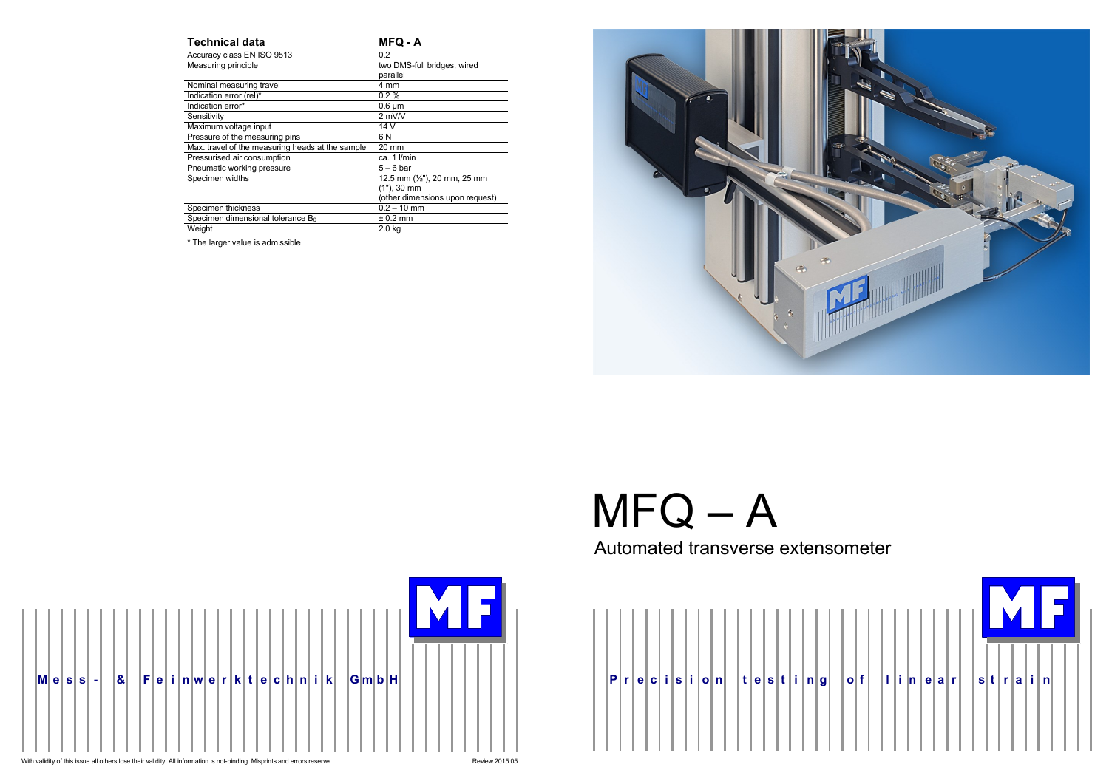

| <b>Technical data</b>                            | <b>MFQ - A</b>                                                                              |
|--------------------------------------------------|---------------------------------------------------------------------------------------------|
| Accuracy class EN ISO 9513                       | 0.2                                                                                         |
| Measuring principle                              | two DMS-full bridges, wired<br>parallel                                                     |
| Nominal measuring travel                         | 4 mm                                                                                        |
| Indication error (rel)*                          | $0.2 \%$                                                                                    |
| Indication error*                                | $0.6 \mu m$                                                                                 |
| Sensitivity                                      | $2$ mV $\overline{N}$                                                                       |
| Maximum voltage input                            | 14 V                                                                                        |
| Pressure of the measuring pins                   | 6 N                                                                                         |
| Max. travel of the measuring heads at the sample | 20 mm                                                                                       |
| Pressurised air consumption                      | ca. 1 I/min                                                                                 |
| Pneumatic working pressure                       | $5-6$ bar                                                                                   |
| Specimen widths                                  | 12.5 mm $(\frac{1}{2})$ , 20 mm, 25 mm<br>$(1")$ , 30 mm<br>(other dimensions upon request) |
| Specimen thickness                               | $0.2 - 10$ mm                                                                               |
| Specimen dimensional tolerance B <sub>0</sub>    | $± 0.2$ mm                                                                                  |
| Weight                                           | 2.0 <sub>kq</sub>                                                                           |

\* The larger value is admissible



# $MFG - A$